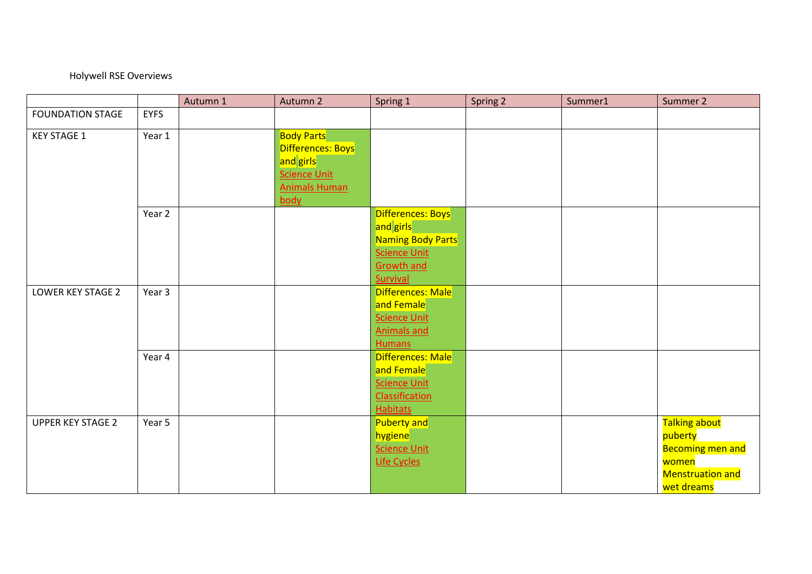## Holywell RSE Overviews

|                          |             | Autumn 1 | Autumn 2                                            | Spring 1                                 | Spring 2 | Summer1 | Summer 2                           |
|--------------------------|-------------|----------|-----------------------------------------------------|------------------------------------------|----------|---------|------------------------------------|
| <b>FOUNDATION STAGE</b>  | <b>EYFS</b> |          |                                                     |                                          |          |         |                                    |
| <b>KEY STAGE 1</b>       | Year 1      |          | <b>Body Parts</b><br>Differences: Boys<br>and girls |                                          |          |         |                                    |
|                          |             |          | <b>Science Unit</b><br><b>Animals Human</b><br>body |                                          |          |         |                                    |
|                          | Year 2      |          |                                                     | <b>Differences: Boys</b>                 |          |         |                                    |
|                          |             |          |                                                     | and girls                                |          |         |                                    |
|                          |             |          |                                                     | <b>Naming Body Parts</b>                 |          |         |                                    |
|                          |             |          |                                                     | <b>Science Unit</b><br><b>Growth and</b> |          |         |                                    |
|                          |             |          |                                                     | Survival                                 |          |         |                                    |
| <b>LOWER KEY STAGE 2</b> | Year 3      |          |                                                     | Differences: Male                        |          |         |                                    |
|                          |             |          |                                                     | and Female                               |          |         |                                    |
|                          |             |          |                                                     | <b>Science Unit</b>                      |          |         |                                    |
|                          |             |          |                                                     | <b>Animals and</b>                       |          |         |                                    |
|                          |             |          |                                                     | <b>Humans</b>                            |          |         |                                    |
|                          | Year 4      |          |                                                     | Differences: Male                        |          |         |                                    |
|                          |             |          |                                                     | and Female                               |          |         |                                    |
|                          |             |          |                                                     | <b>Science Unit</b>                      |          |         |                                    |
|                          |             |          |                                                     | Classification                           |          |         |                                    |
|                          |             |          |                                                     | <b>Habitats</b>                          |          |         |                                    |
| <b>UPPER KEY STAGE 2</b> | Year 5      |          |                                                     | <b>Puberty and</b>                       |          |         | Talking about                      |
|                          |             |          |                                                     | hygiene<br><b>Science Unit</b>           |          |         | puberty<br><b>Becoming men and</b> |
|                          |             |          |                                                     | <b>Life Cycles</b>                       |          |         | women                              |
|                          |             |          |                                                     |                                          |          |         | <b>Menstruation and</b>            |
|                          |             |          |                                                     |                                          |          |         | wet dreams                         |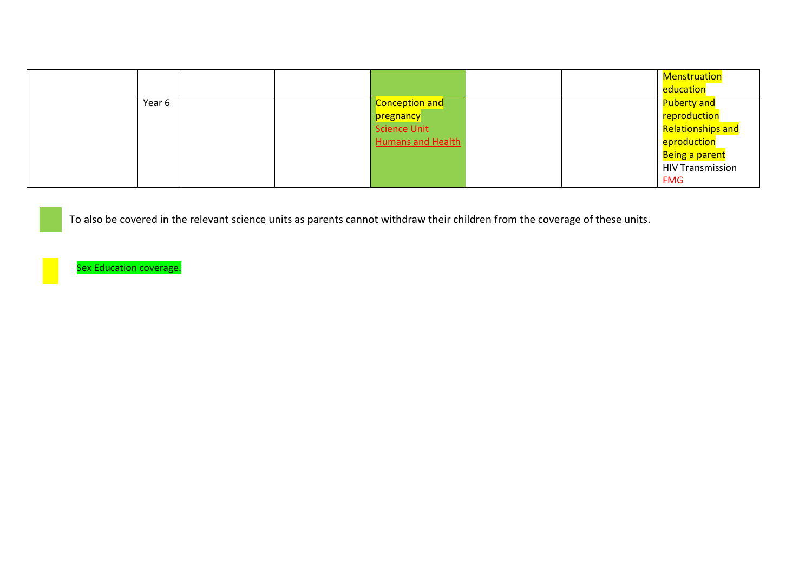|        |  |                          |  | <b>Menstruation</b>      |
|--------|--|--------------------------|--|--------------------------|
|        |  |                          |  | education                |
| Year 6 |  | Conception and           |  | <b>Puberty and</b>       |
|        |  | pregnancy                |  | reproduction             |
|        |  | Science Unit             |  | <b>Relationships and</b> |
|        |  | <b>Humans and Health</b> |  | eproduction              |
|        |  |                          |  | Being a parent           |
|        |  |                          |  | <b>HIV Transmission</b>  |
|        |  |                          |  | <b>FMG</b>               |

To also be covered in the relevant science units as parents cannot withdraw their children from the coverage of these units.

Sex Education coverage.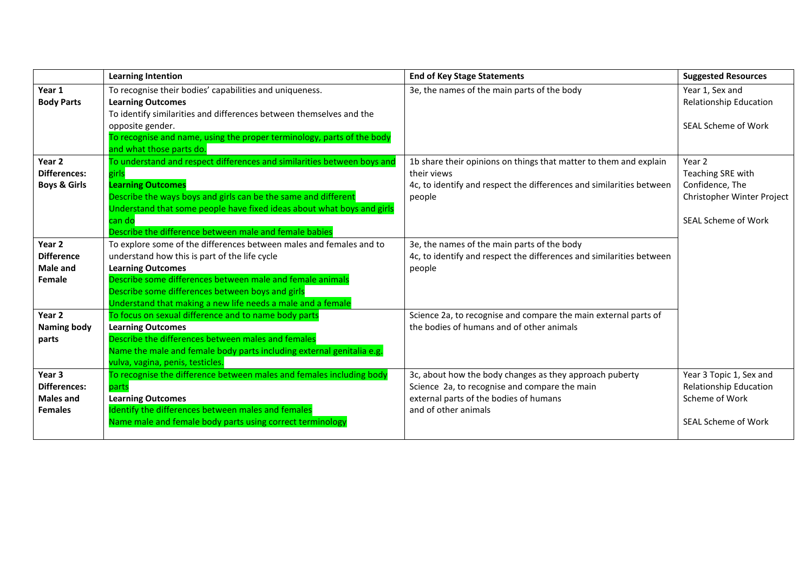|                                                                     | <b>Learning Intention</b>                                                                                                                                                                                                                                                                                                        | <b>End of Key Stage Statements</b>                                                                                                                                         | <b>Suggested Resources</b>                                                                          |
|---------------------------------------------------------------------|----------------------------------------------------------------------------------------------------------------------------------------------------------------------------------------------------------------------------------------------------------------------------------------------------------------------------------|----------------------------------------------------------------------------------------------------------------------------------------------------------------------------|-----------------------------------------------------------------------------------------------------|
| Year 1<br><b>Body Parts</b>                                         | To recognise their bodies' capabilities and uniqueness.<br><b>Learning Outcomes</b><br>To identify similarities and differences between themselves and the<br>opposite gender.<br>To recognise and name, using the proper terminology, parts of the body<br>and what those parts do.                                             | 3e, the names of the main parts of the body                                                                                                                                | Year 1, Sex and<br><b>Relationship Education</b><br>SEAL Scheme of Work                             |
| Year <sub>2</sub><br>Differences:<br><b>Boys &amp; Girls</b>        | To understand and respect differences and similarities between boys and<br>girls<br><b>Learning Outcomes</b><br>Describe the ways boys and girls can be the same and different<br>Understand that some people have fixed ideas about what boys and girls<br>can do<br>Describe the difference between male and female babies     | 1b share their opinions on things that matter to them and explain<br>their views<br>4c, to identify and respect the differences and similarities between<br>people         | Year 2<br>Teaching SRE with<br>Confidence, The<br>Christopher Winter Project<br>SEAL Scheme of Work |
| Year <sub>2</sub><br><b>Difference</b><br><b>Male and</b><br>Female | To explore some of the differences between males and females and to<br>understand how this is part of the life cycle<br><b>Learning Outcomes</b><br>Describe some differences between male and female animals<br>Describe some differences between boys and girls<br>Understand that making a new life needs a male and a female | 3e, the names of the main parts of the body<br>4c, to identify and respect the differences and similarities between<br>people                                              |                                                                                                     |
| Year <sub>2</sub><br><b>Naming body</b><br>parts                    | To focus on sexual difference and to name body parts<br><b>Learning Outcomes</b><br>Describe the differences between males and females<br>Name the male and female body parts including external genitalia e.g.<br>vulva, vagina, penis, testicles.                                                                              | Science 2a, to recognise and compare the main external parts of<br>the bodies of humans and of other animals                                                               |                                                                                                     |
| Year 3<br><b>Differences:</b><br><b>Males and</b><br><b>Females</b> | To recognise the difference between males and females including body<br>parts<br><b>Learning Outcomes</b><br>Identify the differences between males and females<br>Name male and female body parts using correct terminology                                                                                                     | 3c, about how the body changes as they approach puberty<br>Science 2a, to recognise and compare the main<br>external parts of the bodies of humans<br>and of other animals | Year 3 Topic 1, Sex and<br>Relationship Education<br>Scheme of Work<br><b>SEAL Scheme of Work</b>   |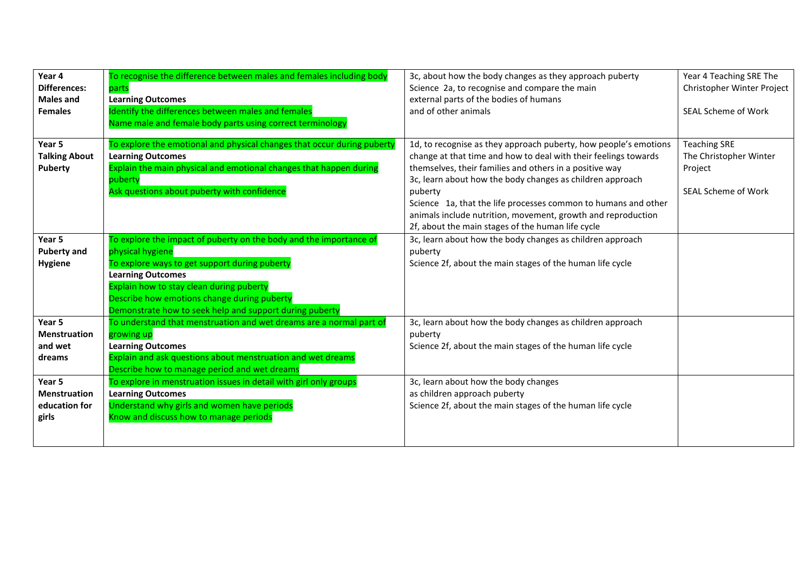| Year 4<br><b>Differences:</b><br><b>Males and</b><br><b>Females</b> | To recognise the difference between males and females including body<br>parts<br><b>Learning Outcomes</b><br>Identify the differences between males and females<br>Name male and female body parts using correct terminology                                                                                              | 3c, about how the body changes as they approach puberty<br>Science 2a, to recognise and compare the main<br>external parts of the bodies of humans<br>and of other animals                                                                                                                                                                                                                                                                                    | Year 4 Teaching SRE The<br>Christopher Winter Project<br><b>SEAL Scheme of Work</b>    |
|---------------------------------------------------------------------|---------------------------------------------------------------------------------------------------------------------------------------------------------------------------------------------------------------------------------------------------------------------------------------------------------------------------|---------------------------------------------------------------------------------------------------------------------------------------------------------------------------------------------------------------------------------------------------------------------------------------------------------------------------------------------------------------------------------------------------------------------------------------------------------------|----------------------------------------------------------------------------------------|
| Year 5<br><b>Talking About</b><br>Puberty                           | To explore the emotional and physical changes that occur during puberty<br><b>Learning Outcomes</b><br>Explain the main physical and emotional changes that happen during<br>puberty<br>Ask questions about puberty with confidence                                                                                       | 1d, to recognise as they approach puberty, how people's emotions<br>change at that time and how to deal with their feelings towards<br>themselves, their families and others in a positive way<br>3c, learn about how the body changes as children approach<br>puberty<br>Science 1a, that the life processes common to humans and other<br>animals include nutrition, movement, growth and reproduction<br>2f, about the main stages of the human life cycle | <b>Teaching SRE</b><br>The Christopher Winter<br>Project<br><b>SEAL Scheme of Work</b> |
| Year 5<br><b>Puberty and</b><br><b>Hygiene</b>                      | To explore the impact of puberty on the body and the importance of<br>physical hygiene<br>To explore ways to get support during puberty<br><b>Learning Outcomes</b><br>Explain how to stay clean during puberty<br>Describe how emotions change during puberty<br>Demonstrate how to seek help and support during puberty | 3c, learn about how the body changes as children approach<br>puberty<br>Science 2f, about the main stages of the human life cycle                                                                                                                                                                                                                                                                                                                             |                                                                                        |
| Year 5<br><b>Menstruation</b><br>and wet<br>dreams                  | To understand that menstruation and wet dreams are a normal part of<br>growing up<br><b>Learning Outcomes</b><br>Explain and ask questions about menstruation and wet dreams<br>Describe how to manage period and wet dreams                                                                                              | 3c, learn about how the body changes as children approach<br>puberty<br>Science 2f, about the main stages of the human life cycle                                                                                                                                                                                                                                                                                                                             |                                                                                        |
| Year 5<br><b>Menstruation</b><br>education for<br>girls             | To explore in menstruation issues in detail with girl only groups<br><b>Learning Outcomes</b><br>Understand why girls and women have periods<br>Know and discuss how to manage periods                                                                                                                                    | 3c, learn about how the body changes<br>as children approach puberty<br>Science 2f, about the main stages of the human life cycle                                                                                                                                                                                                                                                                                                                             |                                                                                        |